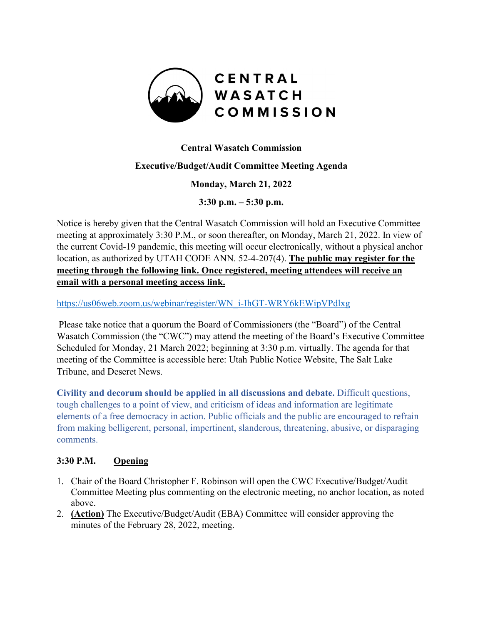

## **Central Wasatch Commission**

### **Executive/Budget/Audit Committee Meeting Agenda**

#### **Monday, March 21, 2022**

**3:30 p.m. – 5:30 p.m.** 

Notice is hereby given that the Central Wasatch Commission will hold an Executive Committee meeting at approximately 3:30 P.M., or soon thereafter, on Monday, March 21, 2022. In view of the current Covid-19 pandemic, this meeting will occur electronically, without a physical anchor location, as authorized by UTAH CODE ANN. 52-4-207(4). **The public may register for the meeting through the following link. Once registered, meeting attendees will receive an email with a personal meeting access link.** 

[https://us06web.zoom.us/webinar/register/WN\\_i-IhGT-WRY6kEWipVPdlxg](https://us06web.zoom.us/webinar/register/WN_i-IhGT-WRY6kEWipVPdlxg)

Please take notice that a quorum the Board of Commissioners (the "Board") of the Central Wasatch Commission (the "CWC") may attend the meeting of the Board's Executive Committee Scheduled for Monday, 21 March 2022; beginning at 3:30 p.m. virtually. The agenda for that meeting of the Committee is accessible here: Utah Public Notice Website, The Salt Lake Tribune, and Deseret News.

**Civility and decorum should be applied in all discussions and debate.** Difficult questions, tough challenges to a point of view, and criticism of ideas and information are legitimate elements of a free democracy in action. Public officials and the public are encouraged to refrain from making belligerent, personal, impertinent, slanderous, threatening, abusive, or disparaging comments.

#### **3:30 P.M. Opening**

- 1. Chair of the Board Christopher F. Robinson will open the CWC Executive/Budget/Audit Committee Meeting plus commenting on the electronic meeting, no anchor location, as noted above.
- 2. **(Action)** The Executive/Budget/Audit (EBA) Committee will consider approving the minutes of the February 28, 2022, meeting.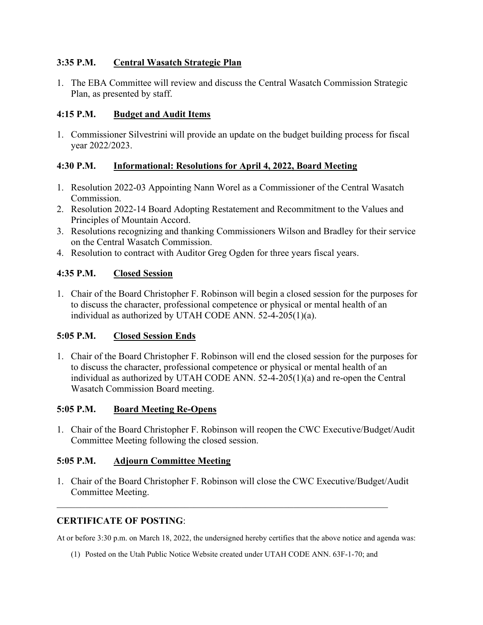### **3:35 P.M. Central Wasatch Strategic Plan**

1. The EBA Committee will review and discuss the Central Wasatch Commission Strategic Plan, as presented by staff.

### **4:15 P.M. Budget and Audit Items**

1. Commissioner Silvestrini will provide an update on the budget building process for fiscal year 2022/2023.

### **4:30 P.M. Informational: Resolutions for April 4, 2022, Board Meeting**

- 1. Resolution 2022-03 Appointing Nann Worel as a Commissioner of the Central Wasatch Commission.
- 2. Resolution 2022-14 Board Adopting Restatement and Recommitment to the Values and Principles of Mountain Accord.
- 3. Resolutions recognizing and thanking Commissioners Wilson and Bradley for their service on the Central Wasatch Commission.
- 4. Resolution to contract with Auditor Greg Ogden for three years fiscal years.

### **4:35 P.M. Closed Session**

1. Chair of the Board Christopher F. Robinson will begin a closed session for the purposes for to discuss the character, professional competence or physical or mental health of an individual as authorized by UTAH CODE ANN. 52-4-205(1)(a).

#### **5:05 P.M. Closed Session Ends**

1. Chair of the Board Christopher F. Robinson will end the closed session for the purposes for to discuss the character, professional competence or physical or mental health of an individual as authorized by UTAH CODE ANN. 52-4-205(1)(a) and re-open the Central Wasatch Commission Board meeting.

#### **5:05 P.M. Board Meeting Re-Opens**

1. Chair of the Board Christopher F. Robinson will reopen the CWC Executive/Budget/Audit Committee Meeting following the closed session.

# **5:05 P.M. Adjourn Committee Meeting**

1. Chair of the Board Christopher F. Robinson will close the CWC Executive/Budget/Audit Committee Meeting.

#### **CERTIFICATE OF POSTING**:

At or before 3:30 p.m. on March 18, 2022, the undersigned hereby certifies that the above notice and agenda was:

(1) Posted on the Utah Public Notice Website created under UTAH CODE ANN. 63F-1-70; and

\_\_\_\_\_\_\_\_\_\_\_\_\_\_\_\_\_\_\_\_\_\_\_\_\_\_\_\_\_\_\_\_\_\_\_\_\_\_\_\_\_\_\_\_\_\_\_\_\_\_\_\_\_\_\_\_\_\_\_\_\_\_\_\_\_\_\_\_\_\_